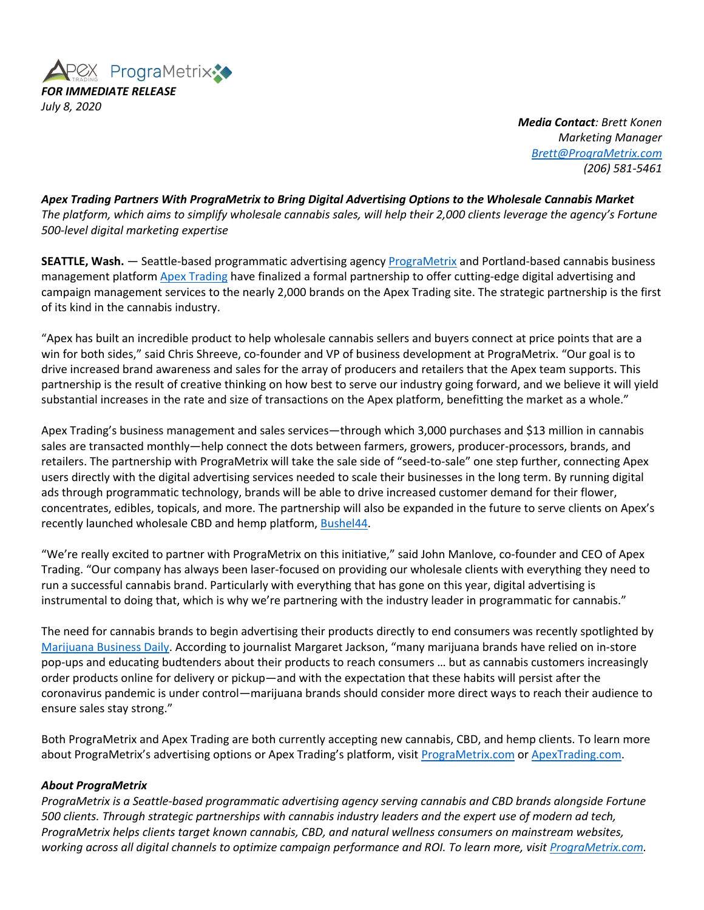

*Media Contact: Brett Konen Marketing Manager Brett@PrograMetrix.com (206) 581-5461*

*Apex Trading Partners With PrograMetrix to Bring Digital Advertising Options to the Wholesale Cannabis Market The platform, which aims to simplify wholesale cannabis sales, will help their 2,000 clients leverage the agency's Fortune 500-level digital marketing expertise*

**SEATTLE, Wash.** — Seattle-based programmatic advertising agency PrograMetrix and Portland-based cannabis business management platform Apex Trading have finalized a formal partnership to offer cutting-edge digital advertising and campaign management services to the nearly 2,000 brands on the Apex Trading site. The strategic partnership is the first of its kind in the cannabis industry.

"Apex has built an incredible product to help wholesale cannabis sellers and buyers connect at price points that are a win for both sides," said Chris Shreeve, co-founder and VP of business development at PrograMetrix. "Our goal is to drive increased brand awareness and sales for the array of producers and retailers that the Apex team supports. This partnership is the result of creative thinking on how best to serve our industry going forward, and we believe it will yield substantial increases in the rate and size of transactions on the Apex platform, benefitting the market as a whole."

Apex Trading's business management and sales services—through which 3,000 purchases and \$13 million in cannabis sales are transacted monthly—help connect the dots between farmers, growers, producer-processors, brands, and retailers. The partnership with PrograMetrix will take the sale side of "seed-to-sale" one step further, connecting Apex users directly with the digital advertising services needed to scale their businesses in the long term. By running digital ads through programmatic technology, brands will be able to drive increased customer demand for their flower, concentrates, edibles, topicals, and more. The partnership will also be expanded in the future to serve clients on Apex's recently launched wholesale CBD and hemp platform, Bushel44.

"We're really excited to partner with PrograMetrix on this initiative," said John Manlove, co-founder and CEO of Apex Trading. "Our company has always been laser-focused on providing our wholesale clients with everything they need to run a successful cannabis brand. Particularly with everything that has gone on this year, digital advertising is instrumental to doing that, which is why we're partnering with the industry leader in programmatic for cannabis."

The need for cannabis brands to begin advertising their products directly to end consumers was recently spotlighted by Marijuana Business Daily. According to journalist Margaret Jackson, "many marijuana brands have relied on in-store pop-ups and educating budtenders about their products to reach consumers … but as cannabis customers increasingly order products online for delivery or pickup—and with the expectation that these habits will persist after the coronavirus pandemic is under control—marijuana brands should consider more direct ways to reach their audience to ensure sales stay strong."

Both PrograMetrix and Apex Trading are both currently accepting new cannabis, CBD, and hemp clients. To learn more about PrograMetrix's advertising options or Apex Trading's platform, visit PrograMetrix.com or ApexTrading.com.

## *About PrograMetrix*

*PrograMetrix is a Seattle-based programmatic advertising agency serving cannabis and CBD brands alongside Fortune 500 clients. Through strategic partnerships with cannabis industry leaders and the expert use of modern ad tech, PrograMetrix helps clients target known cannabis, CBD, and natural wellness consumers on mainstream websites, working across all digital channels to optimize campaign performance and ROI. To learn more, visit PrograMetrix.com.*